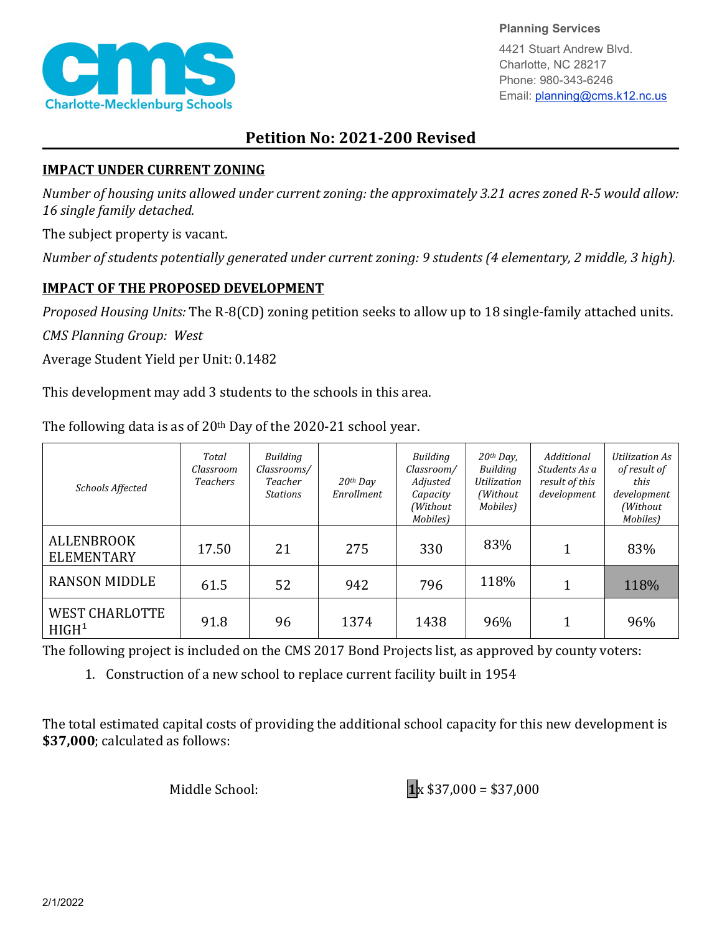

**Planning Services**

4421 Stuart Andrew Blvd. Charlotte, NC 28217 Phone: 980-343-6246 Email: planning@cms.k12.nc.us

## **Petition No: 2021-200 Revised**

## **IMPACT UNDER CURRENT ZONING**

*Number of housing units allowed under current zoning: the approximately 3.21 acres zoned R-5 would allow: 16 single family detached.*

The subject property is vacant.

*Number of students potentially generated under current zoning: 9 students (4 elementary, 2 middle, 3 high).*

## **IMPACT OF THE PROPOSED DEVELOPMENT**

*Proposed Housing Units:* The R-8(CD) zoning petition seeks to allow up to 18 single-family attached units.

*CMS Planning Group: West*

Average Student Yield per Unit: 0.1482

This development may add 3 students to the schools in this area.

The following data is as of  $20<sup>th</sup>$  Day of the 2020-21 school year.

| Schools Affected                             | Total<br>Classroom<br><i>Teachers</i> | <b>Building</b><br>Classrooms/<br>Teacher<br><b>Stations</b> | $20$ <sup>th</sup> Day<br>Enrollment | Building<br>Classroom/<br>Adjusted<br>Capacity<br>(Without<br>Mobiles) | $20th$ Day,<br>Building<br><b>Utilization</b><br>(Without)<br>Mobiles) | Additional<br>Students As a<br>result of this<br>development | Utilization As<br>of result of<br>this<br>development<br>(Without<br>Mobiles) |
|----------------------------------------------|---------------------------------------|--------------------------------------------------------------|--------------------------------------|------------------------------------------------------------------------|------------------------------------------------------------------------|--------------------------------------------------------------|-------------------------------------------------------------------------------|
| <b>ALLENBROOK</b><br><b>ELEMENTARY</b>       | 17.50                                 | 21                                                           | 275                                  | 330                                                                    | 83%                                                                    |                                                              | 83%                                                                           |
| <b>RANSON MIDDLE</b>                         | 61.5                                  | 52                                                           | 942                                  | 796                                                                    | 118%                                                                   |                                                              | 118%                                                                          |
| <b>WEST CHARLOTTE</b><br>H I GH <sup>1</sup> | 91.8                                  | 96                                                           | 1374                                 | 1438                                                                   | 96%                                                                    |                                                              | 96%                                                                           |

The following project is included on the CMS 2017 Bond Projects list, as approved by county voters:

1. Construction of a new school to replace current facility built in 1954

The total estimated capital costs of providing the additional school capacity for this new development is **\$37,000**; calculated as follows: